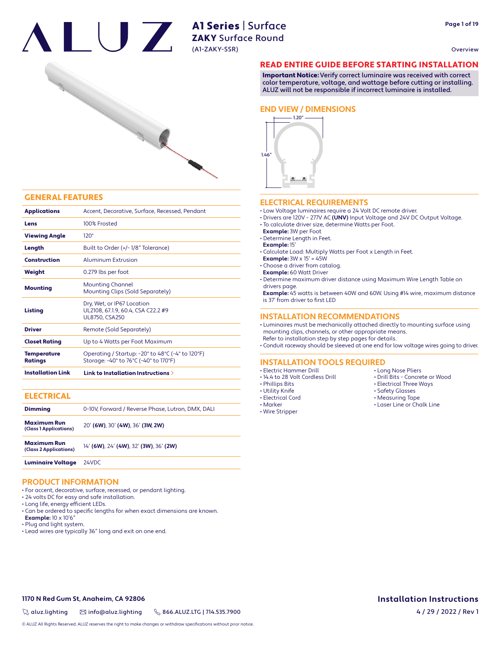



#### GENERAL FEATURES

| <b>Applications</b>                  | Accent, Decorative, Surface, Recessed, Pendant                                                                                      |
|--------------------------------------|-------------------------------------------------------------------------------------------------------------------------------------|
| Lens                                 | 100% Frosted                                                                                                                        |
| <b>Viewing Angle</b>                 | $120^\circ$                                                                                                                         |
| Length                               | Built to Order (+/-1/8" Tolerance)                                                                                                  |
| Construction                         | Aluminum Extrusion                                                                                                                  |
| Weight                               | 0.279 lbs per foot                                                                                                                  |
| <b>Mounting</b>                      | <b>Mounting Channel</b><br>Mounting Clips (Sold Separately)                                                                         |
| <b>Listing</b>                       | Dry, Wet, or IP67 Location<br>UL2108, 67.1.9, 60.4, CSA C22.2 #9<br><b>UL8750, CSA250</b>                                           |
| <b>Driver</b>                        | Remote (Sold Separately)                                                                                                            |
| <b>Closet Rating</b>                 | Up to 4 Watts per Foot Maximum                                                                                                      |
| <b>Temperature</b><br><b>Ratings</b> | Operating / Startup: -20 $^{\circ}$ to 48 $^{\circ}$ C (-4 $^{\circ}$ to 120 $^{\circ}$ F)<br>Storage: -40° to 76°C (-40° to 170°F) |
| <b>Installation Link</b>             | Link to Installation Instructions >                                                                                                 |

## **ELECTRICAL**

| <b>Dimming</b>                               | 0-10V, Forward / Reverse Phase, Lutron, DMX, DALI |
|----------------------------------------------|---------------------------------------------------|
| <b>Maximum Run</b><br>(Class 1 Applications) | 20' (6W), 30' (4W), 36' (3W, 2W)                  |
| <b>Maximum Run</b><br>(Class 2 Applications) | 14' (6W), 24' (4W), 32' (3W), 36' (2W)            |

# Luminaire Voltage 24VDC

## **PRODUCT INFORMATION**

- For accent, decorative, surface, recessed, or pendant lighting.
- 24 volts DC for easy and safe installation.
- Long life, energy efficient LEDs.
- Can be ordered to specific lengths for when exact dimensions are known.
- **Example:** 10 x 10'6"
- Plug and light system.
- Lead wires are typically 36" long and exit on one end.

#### READ ENTIRE GUIDE BEFORE STARTING INSTALLATION

Important Notice: Verify correct luminaire was received with correct color temperature, voltage, and wattage before cutting or installing. ALUZ will not be responsible if incorrect luminaire is installed.

#### **END VIEW / DIMENSIONS**



#### **ELECTRICAL REQUIREMENTS**

- Low Voltage luminaires require a 24 Volt DC remote driver.
- Drivers are 120V 277V AC **(UNV)** Input Voltage and 24V DC Output Voltage.
- To calculate driver size, determine Watts per Foot.
- **Example:** 3W per Foot
- Determine Length in Feet.
- **Example:** 15'
- Calculate Load: Multiply Watts per Foot x Length in Feet.
- **Example:** 3W x 15' = 45W
- Choose a driver from catalog.
- **Example:** 60 Watt Driver

• Determine maximum driver distance using Maximum Wire Length Table on drivers page.

 **Example:** 45 watts is between 40W and 60W. Using #14 wire, maximum distance is 37' from driver to first LED

#### **INSTALLATION RECOMMENDATIONS**

- Luminaires must be mechanically attached directly to mounting surface using mounting clips, channels, or other appropriate means.
- Refer to installation step by step pages for details.

• Conduit raceway should be sleeved at one end for low voltage wires going to driver.

#### **INSTALLATION TOOLS REQUIRED**

- Electric Hammer Drill
- 14.4 to 28 Volt Cordless Drill
- Phillips Bits
- Utility Knife • Electrical Cord
- Marker
- Wire Stripper
- Long Nose Pliers • Drill Bits - Concrete or Wood
- Electrical Three Ways
- Safety Glasses
- Measuring Tape
- Laser Line or Chalk Line

# **1170 N Red Gum St, Anaheim, CA 92806 Installation Instructions**

4 / 29 / 2022 / Rev 1

 $\%$  aluz.lighting  $\%$  info@aluz.lighting  $\%$  866.ALUZ.LTG | 714.535.7900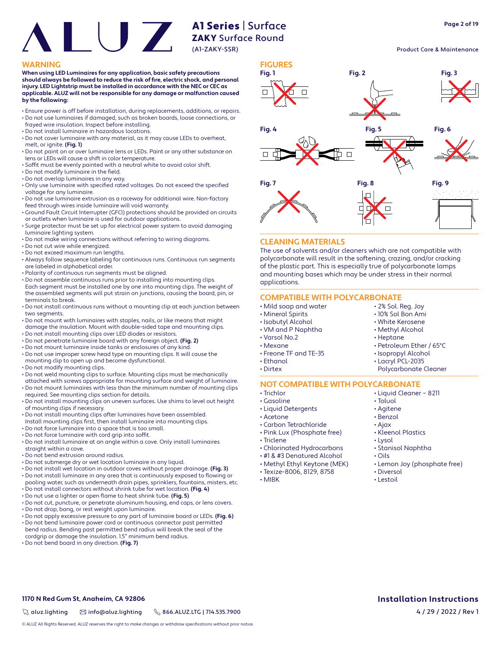#### Product Care & Maintenance

#### **WARNING FIGURES**

**When using LED Luminaires for any application, basic safety precautions**  should always be followed to reduce the risk of fire, electric shock, and personal **injury. LED Lightstrip must be installed in accordance with the NEC or CEC as applicable. ALUZ will not be responsible for any damage or malfunction caused by the following:**

- Ensure power is off before installation, during replacements, additions, or repairs. • Do not use luminaires if damaged, such as broken boards, loose connections, or
- frayed wire insulation. Inspect before installing.
- Do not install luminaire in hazardous locations.
- Do not cover luminaire with any material, as it may cause LEDs to overheat, melt, or ignite. **(Fig. 1)**
- Do not paint on or over luminaire lens or LEDs. Paint or any other substance on lens or LEDs will cause a shift in color temperature.
- Soffit must be evenly painted with a neutral white to avoid color shift.
- $\cdot$  Do not modify luminaire in the field.
- Do not overlap luminaires in any way.
- Only use luminaire with specified rated voltages. Do not exceed the specified voltage for any luminaire.
- Do not use luminaire extrusion as a raceway for additional wire. Non-factory feed through wires inside luminaire will void warranty.
- Ground Fault Circuit Interrupter (GFCI) protections should be provided on circuits or outlets when luminaire is used for outdoor applications.
- Surge protector must be set up for electrical power system to avoid damaging luminaire lighting system.
- Do not make wiring connections without referring to wiring diagrams.
- Do not cut wire while energized.
- Do not exceed maximum run lengths.
- Always follow sequence labeling for continuous runs. Continuous run segments are labeled in alphabetical order.
- Polarity of continuous run segments must be aligned.
- Do not assemble continuous runs prior to installing into mounting clips. Each segment must be installed one by one into mounting clips. The weight of the assembled segments will put strain on junctions, causing the board, pin, or terminals to break.
- Do not install continuous runs without a mounting clip at each junction between two segments.
- Do not mount with luminaires with staples, nails, or like means that might damage the insulation. Mount with double-sided tape and mounting clips.
- Do not install mounting clips over LED diodes or resistors.
- Do not penetrate luminaire board with any foreign object. **(Fig. 2)**
- Do not mount luminaire inside tanks or enclosures of any kind.
- Do not use improper screw head type on mounting clips. It will cause the mounting clip to open up and become dysfunctional.
- Do not modify mounting clips.
- Do not weld mounting clips to surface. Mounting clips must be mechanically
- attached with screws appropriate for mounting surface and weight of luminaire. • Do not mount luminaires with less than the minimum number of mounting clips
- required. See mounting clips section for details. • Do not install mounting clips on uneven surfaces. Use shims to level out height of mounting clips if necessary.
- Do not install mounting clips after luminaires have been assembled.
- Install mounting clips first, then install luminaire into mounting clips.
- Do not force luminaire into a space that is too small.
- Do not force luminaire with cord grip into soffit.
- Do not install luminaire at an angle within a cove. Only install luminaires straight within a cove.
- Do not bend extrusion around radius.
- Do not submerge dry or wet location luminaire in any liquid.
- Do not install wet location in outdoor coves without proper drainage. **(Fig. 3)** • Do not install luminaire in any area that is continuously exposed to flowing or
- pooling water, such as underneath drain pipes, sprinklers, fountains, misters, etc. • Do not install connectors without shrink tube for wet location. **(Fig. 4)**
- Do nut use a lighter or open flame to heat shrink tube. **(Fig. 5)**
- Do not cut, puncture, or penetrate aluminum housing, end caps, or lens covers.
- Do not drop, bang, or rest weight upon luminaire.
- Do not apply excessive pressure to any part of luminaire board or LEDs. **(Fig. 6)**
- Do not bend luminaire power cord or continuous connector past permitted bend radius. Bending past permitted bend radius will break the seal of the cordgrip or damage the insulation. 1.5" minimum bend radius.
- Do not bend board in any direction. **(Fig. 7)**



#### **CLEANING MATERIALS**

The use of solvents and/or cleaners which are not compatible with polycarbonate will result in the softening, crazing, and/or cracking of the plastic part. This is especially true of polycarbonate lamps and mounting bases which may be under stress in their normal applications.

## **COMPATIBLE WITH POLYCARBONATE**

- Mild soap and water
- Mineral Spirits
- Isobutyl Alcohol
- VM and P Naphtha
- Varsol No.2
- Mexane
- Freone TF and TE-35
- Ethanol
- Dirtex
- 

#### **NOT COMPATIBLE WITH POLYCARBONATE** • Liquid Cleaner – 8211

- Trichlor
- Gasoline
- Liquid Detergents
- Acetone
- Carbon Tetrachloride
- 
- 
- 
- 
- 
- 
- 

• Toluol • Agitene

• 2% Sol. Reg. Joy • 10% Sol Bon Ami • White Kerosene • Methyl Alcohol • Heptane

• Petroleum Ether / 65°C • Isopropyl Alcohol • Lacryl PCL-2035 Polycarbonate Cleaner

- Benzol
- 
- Ajax
- Kleenol Plastics
- Lysol
- Stanisol Naphtha
- Oils
- Lemon Joy (phosphate free) • Diversol
- Lestoil

**1170 N Red Gum St, Anaheim, CA 92806 Installation Instructions**

 $\%$  aluz.lighting  $\%$  info@aluz.lighting  $\%$  866.ALUZ.LTG | 714.535.7900

© ALUZ All Rights Reserved. ALUZ reserves the right to make changes or withdraw specifications without prior notice.

- Pink Lux (Phosphate free)
	- Triclene
	- Chlorinated Hydrocarbons
	- #1 & #3 Denatured Alcohol
	- Methyl Ethyl Keytone (MEK)
	- Texize-8006, 8129, 8758
	- MIBK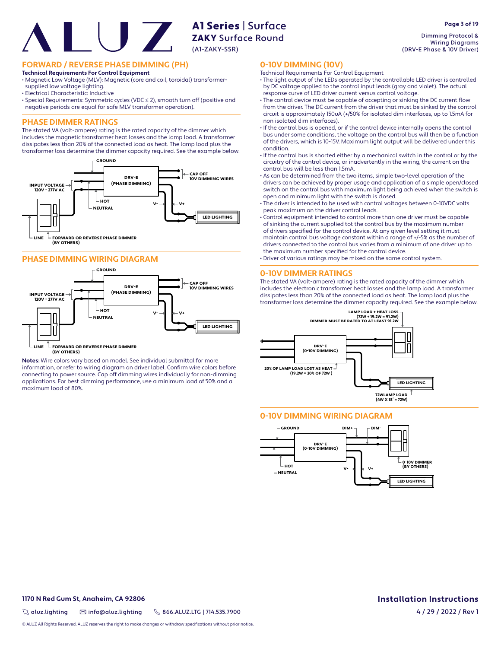**FORWARD / REVERSE PHASE DIMMING (PH)**

#### **Technical Requirements For Control Equipment**

• Magnetic Low Voltage (MLV): Magnetic (core and coil, toroidal) transformersupplied low voltage lighting.

- Electrical Characteristic: Inductive
- Special Requirements: Symmetric cycles (VDC ≤ 2), smooth turn off (positive and negative periods are equal for safe MLV transformer operation).

## **PHASE DIMMER RATINGS**

The stated VA (volt-ampere) rating is the rated capacity of the dimmer which includes the magnetic transformer heat losses and the lamp load. A transformer dissipates less than 20% of the connected load as heat. The lamp load plus the transformer loss determine the dimmer capacity required. See the example below.



#### **PHASE DIMMING WIRING DIAGRAM**



 $\mathbb L$  FORWARD OR REVERSE PHASE DIMMER **(BY OTHERS) LINE**

**Notes:** Wire colors vary based on model. See individual submittal for more information, or refer to wiring diagram on driver label. Confirm wire colors before connecting to power source. Cap off dimming wires individually for non-dimming applications. For best dimming performance, use a minimum load of 50% and a maximum load of 80%.

Dimming Protocol & Wiring Diagrams (DRV-E Phase & 10V Driver)

#### **0-10V DIMMING (10V)**

- Technical Requirements For Control Equipment
- The light output of the LEDs operated by the controllable LED driver is controlled by DC voltage applied to the control input leads (gray and violet). The actual response curve of LED driver current versus control voltage.
- The control device must be capable of accepting or sinking the DC current flow from the driver. The DC current from the driver that must be sinked by the control circuit is approximately 150uA (+/50% for isolated dim interfaces, up to 1.5mA for non isolated dim interfaces).
- If the control bus is opened, or if the control device internally opens the control bus under some conditions, the voltage on the control bus will then be a function of the drivers, which is 10-15V. Maximum light output will be delivered under this condition.
- If the control bus is shorted either by a mechanical switch in the control or by the circuitry of the control device, or inadvertently in the wiring, the current on the control bus will be less than 1.5mA.
- As can be determined from the two items, simple two-level operation of the drivers can be achieved by proper usage and application of a simple open/closed switch on the control bus with maximum light being achieved when the switch is open and minimum light with the switch is closed.
- The driver is intended to be used with control voltages between 0-10VDC volts peak maximum on the driver control leads.
- Control equipment intended to control more than one driver must be capable of sinking the current supplied tot the control bus by the maximum number of drivers specified for the control device. At any given level setting it must maintain control bus voltage constant within a range of +/-5% as the number of drivers connected to the control bus varies from a minimum of one driver up to the maximum number specified for the control device.
- Driver of various ratings may be mixed on the same control system.

#### **0-10V DIMMER RATINGS**

The stated VA (volt-ampere) rating is the rated capacity of the dimmer which includes the electronic transformer heat losses and the lamp load. A transformer dissipates less than 20% of the connected load as heat. The lamp load plus the transformer loss determine the dimmer capacity required. See the example below.



## **0-10V DIMMING WIRING DIAGRAM**



#### **1170 N Red Gum St, Anaheim, CA 92806 Installation Instructions**

 $\%$  aluz.lighting  $\%$  info@aluz.lighting  $\%$  866.ALUZ.LTG | 714.535.7900

© ALUZ All Rights Reserved. ALUZ reserves the right to make changes or withdraw specifications without prior notice

# 4 / 29 / 2022 / Rev 1

**Page 3 of 19**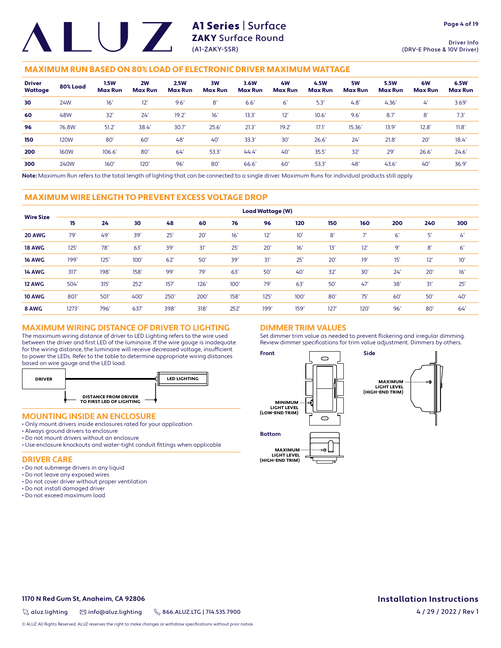Driver Info (DRV-E Phase & 10V Driver)

## MAXIMUM RUN BASED ON 80% LOAD OF ELECTRONIC DRIVER MAXIMUM WATTAGE

| <b>Driver</b><br>Wattage | 80% Load    | 1.5W<br><b>Max Run</b> | 2W<br><b>Max Run</b> | <b>2.5W</b><br><b>Max Run</b> | 3W<br><b>Max Run</b> | 3.6W<br><b>Max Run</b> | 4W<br><b>Max Run</b> | 4.5W<br><b>Max Run</b> | 5W<br><b>Max Run</b> | <b>5.5W</b><br><b>Max Run</b> | 6W<br><b>Max Run</b> | 6.5W<br><b>Max Run</b> |
|--------------------------|-------------|------------------------|----------------------|-------------------------------|----------------------|------------------------|----------------------|------------------------|----------------------|-------------------------------|----------------------|------------------------|
| 30                       | 24W         | 16'                    | 12'                  | 9.6'                          | 8'                   | 6.6'                   | 6'                   | 5.3                    | 4.8'                 | 4.36'                         | $\mathcal{L}'$       | 3.69'                  |
| 60                       | 48W         | 32'                    | 24'                  | 19.2'                         | 16'                  | 13.3'                  | 12'                  | 10.6'                  | 9.6'                 | 8.7'                          | 8'                   | 7.3'                   |
| 96                       | 76.8W       | 51.2'                  | 38.4                 | 30.7'                         | 25.6'                | 21.3'                  | 19.2'                | 17.1                   | 15.36'               | 13.9'                         | 12.8'                | 11.8'                  |
| 150                      | 120W        | 80'                    | 60'                  | 48'                           | 40'                  | 33.3'                  | 30'                  | 26.6'                  | 24'                  | 21.8'                         | 20'                  | 18.4'                  |
| 200                      | <b>160W</b> | 106.6'                 | 80'                  | 64                            | 53.3'                | 44.4'                  | 40'                  | 35.5'                  | 32'                  | 29'                           | 26.6'                | 24.6'                  |
| 300                      | 240W        | $160^\circ$            | 120'                 | 96'                           | 80'                  | 66.6                   | 60'                  | 53.3                   | 48'                  | 43.6'                         | 40'                  | 36.9'                  |

**Note:** Maximum Run refers to the total length of lighting that can be connected to a single driver. Maximum Runs for individual products still apply.

#### MAXIMUM WIRE LENGTH TO PREVENT EXCESS VOLTAGE DROP

|                  |       |      |      |      |      |      | <b>Load Wattage (W)</b> |      |                 |      |     |     |     |
|------------------|-------|------|------|------|------|------|-------------------------|------|-----------------|------|-----|-----|-----|
| <b>Wire Size</b> | 15    | 24   | 30   | 48   | 60   | 76   | 96                      | 120  | 150             | 160  | 200 | 240 | 300 |
| 20 AWG           | 79'   | 49'  | 39'  | 25'  | 20'  | 16'  | 12'                     | 10'  | 8'              | 7'   | 6'  | 5'  | 4'  |
| <b>18 AWG</b>    | 125'  | 78'  | 63'  | 39'  | 31'  | 25'  | 20'                     | 16'  | 13'             | 12'  | 9'  | 8'  | 6'  |
| <b>16 AWG</b>    | 199'  | 125' | 100' | 62'  | 50'  | 39'  | 31'                     | 25'  | 20 <sup>°</sup> | 19'  | 15' | 12' | 10' |
| <b>14 AWG</b>    | 317'  | 198' | 158' | 99'  | 79'  | 63'  | 50'                     | 40'  | 32'             | 30'  | 24' | 20' | 16' |
| 12 AWG           | 504'  | 315' | 252' | 157' | 126' | 100' | 79'                     | 63'  | 50'             | 47'  | 38' | 31' | 25' |
| <b>10 AWG</b>    | 801   | 501' | 400' | 250' | 200' | 158' | 125'                    | 100' | 80              | 75'  | 60' | 50' | 40' |
| 8 AWG            | 1273' | 796' | 637  | 398' | 318' | 252' | 199'                    | 159' | 127'            | 120' | 96' | 80  | 64' |

## **MAXIMUM WIRING DISTANCE OF DRIVER TO LIGHTING**

The maximum wiring distance of driver to LED Lighting refers to the wire used between the driver and first LED of the luminaire. If the wire gauge is inadequate for the wiring distance, the luminaire will receive decreased voltage, insufficient to power the LEDs. Refer to the table to determine appropriate wiring distances based on wire gauge and the LED load.



#### **MOUNTING INSIDE AN ENCLOSURE**

- Only mount drivers inside enclosures rated for your application
- Always ground drivers to enclosure
- Do not mount drivers without an enclosure
- Use enclosure knockouts and water-tight conduit fittings when applicable

#### **DRIVER CARE**

- Do not submerge drivers in any liquid
- Do not leave any exposed wires
- Do not cover driver without proper ventilation
- Do not install damaged driver
- Do not exceed maximum load

## **DIMMER TRIM VALUES**

Set dimmer trim value as needed to prevent flickering and irregular dimming. Review dimmer specifications for trim value adjustment. Dimmers by others.



**1170 N Red Gum St, Anaheim, CA 92806 Installation Instructions**

 $\%$  aluz.lighting  $\%$  info@aluz.lighting  $\%$  866.ALUZ.LTG | 714.535.7900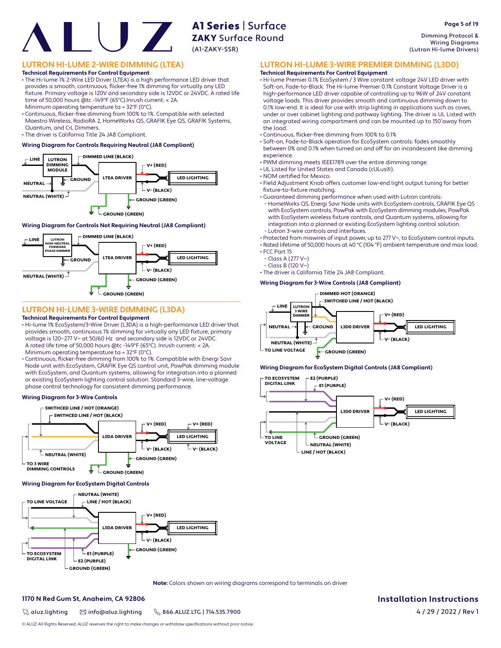Dimming Protocol & Wiring Diagrams (Lutron Hi-lume Drivers)

**Page 5 of 19**

## **LUTRON HI-LUME 2-WIRE DIMMING (LTEA)**

**Technical Requirements For Control Equipment**

• The Hi-lume 1% 2-Wire LED Driver (LTEA) is a high performance LED driver that provides a smooth, continuous, flicker-free 1% dimming for virtually any LED fi xture. Primary voltage is 120V and secondary side is 12VDC or 24VDC. A rated life time of 50,000 hours @tc -149°F (65°C).Inrush current: < 2A.

Minimum operating temperature ta = 32°F (0°C).

• Continuous, flicker-free dimming from 100% to 1%. Compatible with selected Maestro Wireless, RadioRA 2, HomeWorks QS, GRAFIK Eye QS, GRAFIK Systems, Quantum, and C•L Dimmers.

• The driver is California Title 24 JA8 Compliant.

#### **Wiring Diagram for Controls Requiring Neutral (JA8 Compliant)**



#### **Wiring Diagram for Controls Not Requiring Neutral (JA8 Compliant)**



## **LUTRON HI-LUME 3-WIRE DIMMING (L3DA)**

#### **Technical Requirements For Control Equipment**

- Hi-lume 1% EcoSystem/3-Wire Driver (L3DA) is a high-performance LED driver that provides smooth, continuous 1% dimming for virtually any LED fixture, primary voltage is 120–277 V~ at 50/60 Hz and secondary side is 12VDC or 24VDC. A rated life time of 50,000 hours @tc -149°F (65°C). Inrush current: < 2A. Minimum operating temperature ta = 32°F (0°C).
- Continuous, flicker-free dimming from 100% to 1%. Compatible with Energi Savr Node unit with EcoSystem, GRAFIK Eye QS control unit, PowPak dimming module with EcoSystem, and Quantum systems, allowing for integration into a planned or existing EcoSystem lighting control solution. Standard 3-wire, line-voltage phase control technology for consistent dimming performance.

#### **Wiring Diagram for 3-Wire Controls**



#### **Wiring Diagram for EcoSystem Digital Controls**



**Note:** Colors shown on wiring diagrams correspond to terminals on driver

#### **1170 N Red Gum St, Anaheim, CA 92806 Installation Instructions**

 $\%$  aluz.lighting  $\%$  info@aluz.lighting  $\%$  866.ALUZ.LTG | 714.535.7900

© ALUZ All Rights Reserved. ALUZ reserves the right to make changes or withdraw specifications without prior notice.

## **LUTRON HI-LUME 3-WIRE PREMIER DIMMING (L3D0)**

## **Technical Requirements For Control Equipment**

• Hi-lume Premier 0.1% EcoSystem / 3 Wire constant voltage 24V LED driver with Soft-on, Fade-to-Black. The Hi-lume Premier 0.1% Constant Voltage Driver is a high-performance LED driver capable of controlling up to 96W of 24V constant voltage loads. This driver provides smooth and continuous dimming down to 0.1% low-end. It is ideal for use with strip lighting in applications such as coves, under or over cabinet lighting and pathway lighting. The driver is UL Listed with an integrated wiring compartment and can be mounted up to 150'away from the load.

- Continuous, flicker-free dimming from 100% to 0.1%
- Soft-on, Fade-to-Black operation for EcoSystem controls: fades smoothly between 0% and 0.1% when turned on and off for an incandescent like dimming experience.
- PWM dimming meets IEEE1789 over the entire dimming range.
- UL Listed for United States and Canada (cULus®). • NOM certified for Mexico.
- 
- Field Adjustment Knob offers customer low-end light output tuning for better fixture-to-fixture matching.
- Guaranteed dimming performance when used with Lutron controls:
- HomeWorks QS, Energi Savr Node units with EcoSystem controls, GRAFIK Eye QS with EcoSystem controls, PowPak with EcoSystem dimming modules, PowPak with EcoSystem wireless fixture controls, and Quantum systems, allowing for integration into a planned or existing EcoSystem lighting control solution. - Lutron 3-wire controls and interfaces.

• Protected from miswires of input power, up to 277 V~, to EcoSystem control inputs.

• Rated lifetime of 50,000 hours at 40 °C (104 °F) ambient temperature and max load. • FCC Part 15

- Class A (277 V~)
- Class B (120 V~)

• The driver is California Title 24 JA8 Compliant.

#### **Wiring Diagram for 3-Wire Controls (JA8 Compliant)**



#### **Wiring Diagram for EcoSystem Digital Controls (JA8 Compliant)**

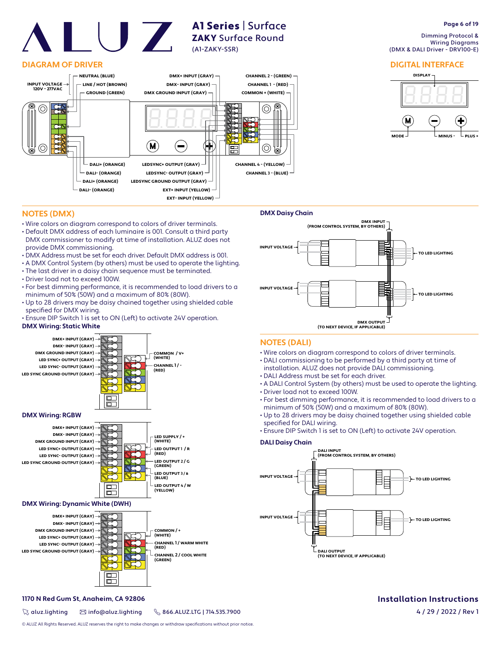## **DIAGRAM OF DRIVER**



A1 Series | Surface ZAKY Surface Round

(A1-ZAKY-SSR)

#### **Page 6 of 19**

 Dimming Protocol & Wiring Diagrams (DMX & DALI Driver - DRV100-E)

#### **DIGITAL INTERFACE**



## **NOTES (DMX)**

- Wire colors on diagram correspond to colors of driver terminals.
- Default DMX address of each luminaire is 001. Consult a third party DMX commissioner to modify at time of installation. ALUZ does not provide DMX commissioning.
- DMX Address must be set for each driver. Default DMX address is 001.
- A DMX Control System (by others) must be used to operate the lighting.
- The last driver in a daisy chain sequence must be terminated.
- Driver load not to exceed 100W.
- For best dimming performance, it is recommended to load drivers to a minimum of 50% (50W) and a maximum of 80% (80W).
- Up to 28 drivers may be daisy chained together using shielded cable specified for DMX wiring.
- Ensure DIP Switch 1 is set to ON (Left) to activate 24V operation.

#### **DMX Wiring: Static White**







## **DMX Wiring: Dynamic White (DWH)**



# **DMX OUTPUT (TO NEXT DEVICE, IF APPLICABLE) DMX INPUT (FROM CONTROL SYSTEM, BY OTHERS) INPUT VOLTAGE INPUT VOLTAGE TO LED LIGHTING TO LED LIGHTING**

#### **NOTES (DALI)**

**DMX Daisy Chain**

- Wire colors on diagram correspond to colors of driver terminals.
- DALI commissioning to be performed by a third party at time of
- installation. ALUZ does not provide DALI commissioning.
- DALI Address must be set for each driver.
- A DALI Control System (by others) must be used to operate the lighting. • Driver load not to exceed 100W.
- For best dimming performance, it is recommended to load drivers to a
- minimum of 50% (50W) and a maximum of 80% (80W). • Up to 28 drivers may be daisy chained together using shielded cable specified for DALI wiring.
- Ensure DIP Switch 1 is set to ON (Left) to activate 24V operation.

#### **DALI Daisy Chain**



#### **1170 N Red Gum St, Anaheim, CA 92806 Installation Instructions**

 $\%$  aluz.lighting  $\%$  info@aluz.lighting  $\%$  866.ALUZ.LTG | 714.535.7900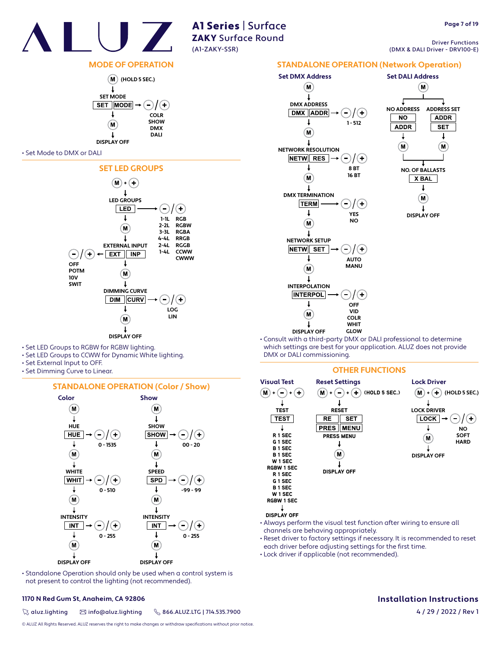

Driver Functions (DMX & DALI Driver - DRV100-E)

## **MODE OF OPERATION**



#### • Set Mode to DMX or DALI



- Set LED Groups to RGBW for RGBW lighting.
- Set LED Groups to CCWW for Dynamic White lighting.
- Set External Input to OFF.
- Set Dimming Curve to Linear.

#### **STANDALONE OPERATION (Color / Show)**



• Standalone Operation should only be used when a control system is not present to control the lighting (not recommended).

#### **1170 N Red Gum St, Anaheim, CA 92806 Installation Instructions**

 $\%$  aluz.lighting  $\%$  info@aluz.lighting  $\%$  866.ALUZ.LTG | 714.535.7900

© ALUZ All Rights Reserved. ALUZ reserves the right to make changes or withdraw specifications without prior notice.



• Consult with a third-party DMX or DALI professional to determine which settings are best for your application. ALUZ does not provide DMX or DALI commissioning.

#### **OTHER FUNCTIONS**



- Always perform the visual test function after wiring to ensure all channels are behaving appropriately.
- Reset driver to factory settings if necessary. It is recommended to reset each driver before adjusting settings for the first time.
- Lock driver if applicable (not recommended).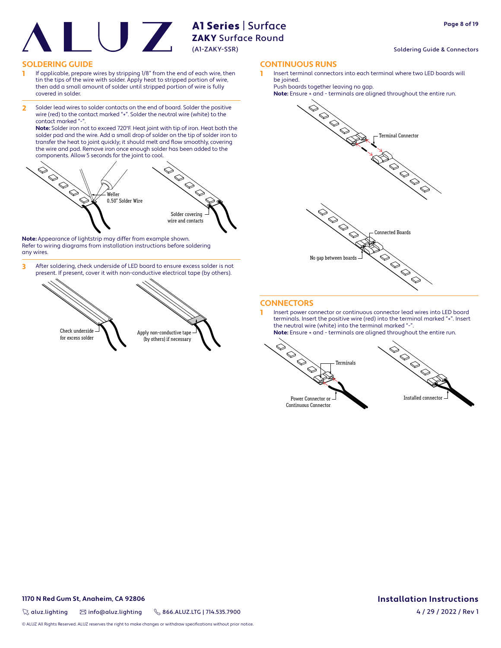#### Soldering Guide & Connectors

#### **SOLDERING GUIDE CONTINUOUS RUNS**

- 1 If applicable, prepare wires by stripping 1/8" from the end of each wire, then tin the tips of the wire with solder. Apply heat to stripped portion of wire, then add a small amount of solder until stripped portion of wire is fully covered in solder.
- 2 Solder lead wires to solder contacts on the end of board. Solder the positive wire (red) to the contact marked "+". Solder the neutral wire (white) to the contact marked "-

**Note:** Solder iron not to exceed 720°F. Heat joint with tip of iron. Heat both the solder pad and the wire. Add a small drop of solder on the tip of solder iron to transfer the heat to joint quickly; it should melt and flow smoothly, covering the wire and pad. Remove iron once enough solder has been added to the components. Allow 5 seconds for the joint to cool.



**Note:** Appearance of lightstrip may differ from example shown. Refer to wiring diagrams from installation instructions before soldering any wires.

3 After soldering, check underside of LED board to ensure excess solder is not present. If present, cover it with non-conductive electrical tape (by others).



Insert terminal connectors into each terminal where two LED boards will be joined.

Push boards together leaving no gap.





#### **CONNECTORS**

1 Insert power connector or continuous connector lead wires into LED board terminals. Insert the positive wire (red) into the terminal marked "+". Insert the neutral wire (white) into the terminal marked "-**Note:** Ensure + and - terminals are aligned throughout the entire run.

 $\bigotimes$  $\bigotimes$  $\Diamond$ Terminals  $\Diamond$ Power Connector or



Continuous Connector

#### **1170 N Red Gum St, Anaheim, CA 92806 Installation Instructions**

 $\%$  aluz.lighting  $\%$  info@aluz.lighting  $\%$  866.ALUZ.LTG | 714.535.7900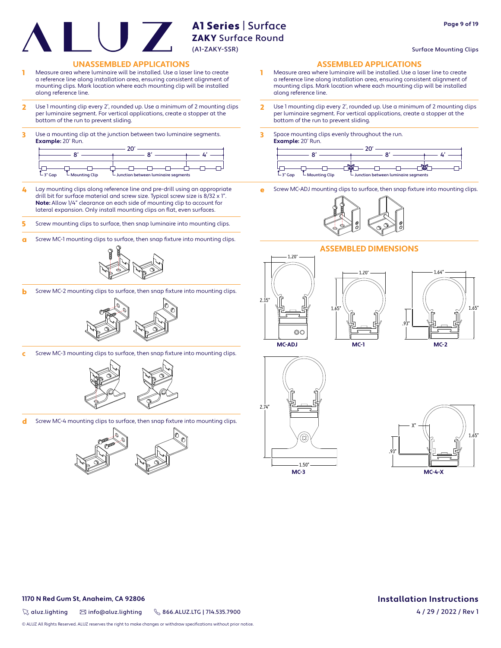# A1 Series | Surface ZAKY Surface Round

(A1-ZAKY-SSR)

## Surface Mounting Clips

**Page 9 of 19**

#### **UNASSEMBLED APPLICATIONS ASSEMBLED APPLICATIONS**

- 1 Measure area where luminaire will be installed. Use a laser line to create a reference line along installation area, ensuring consistent alignment of mounting clips. Mark location where each mounting clip will be installed along reference line.
- 2 Use 1 mounting clip every 2', rounded up. Use a minimum of 2 mounting clips per luminaire segment. For vertical applications, create a stopper at the bottom of the run to prevent sliding.
- 3 Use a mounting clip at the junction between two luminaire segments. **Example:** 20' Run.

| $-$ 3" Gap | $-$ Mounting Clip | $\overline{\phantom{a}}$ Junction between luminaire segments |  |  |
|------------|-------------------|--------------------------------------------------------------|--|--|

- 4 Lay mounting clips along reference line and pre-drill using an appropriate drill bit for surface material and screw size. Typical screw size is 8/32 x 1". **Note:** Allow 1/4" clearance on each side of mounting clip to account for lateral expansion. Only install mounting clips on flat, even surfaces.
- 5 Screw mounting clips to surface, then snap luminaire into mounting clips.
- **a** Screw MC-1 mounting clips to surface, then snap fixture into mounting clips.



**b** Screw MC-2 mounting clips to surface, then snap fixture into mounting clips.



Screw MC-3 mounting clips to surface, then snap fixture into mounting clips.



d Screw MC-4 mounting clips to surface, then snap fixture into mounting clips.



- 1 Measure area where luminaire will be installed. Use a laser line to create a reference line along installation area, ensuring consistent alignment of mounting clips. Mark location where each mounting clip will be installed along reference line.
- 2 Use 1 mounting clip every 2', rounded up. Use a minimum of 2 mounting clips per luminaire segment. For vertical applications, create a stopper at the bottom of the run to prevent sliding.
- 3 Space mounting clips evenly throughout the run. **Example:** 20' Run.



Screw MC-ADJ mounting clips to surface, then snap fixture into mounting clips.



1.20"

**MC-1**





1.20"



**MC-ADJ**





**1170 N Red Gum St, Anaheim, CA 92806 Installation Instructions**

 $\%$  aluz.lighting  $\%$  info@aluz.lighting  $\%$  866.ALUZ.LTG | 714.535.7900

© ALUZ All Rights Reserved. ALUZ reserves the right to make changes or withdraw specifications without prior notice.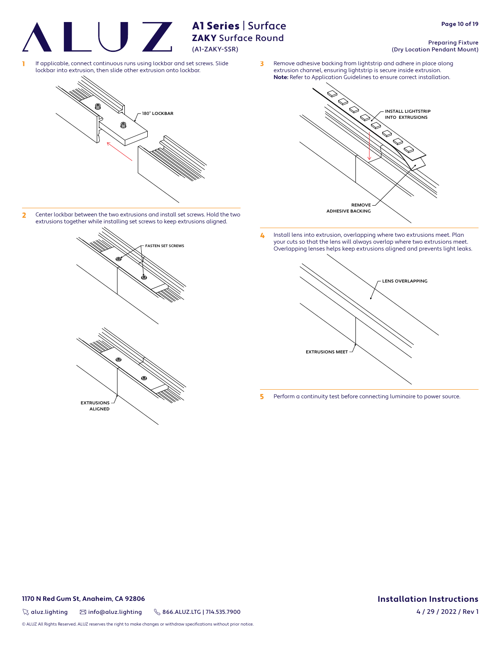A1 Series | Surface

<sup>1</sup> If applicable, connect continuous runs using lockbar and set screws. Slide lockbar into extrusion, then slide other extrusion onto lockbar.



2 Center lockbar between the two extrusions and install set screws. Hold the two extrusions together while installing set screws to keep extrusions aligned.



- INSTALL LIGHTSTRIP INTO EXTRUSIONS REMOVE ADHESIVE BACKING **Note:** Refer to Application Guidelines to ensure correct installation.
- 4 Install lens into extrusion, overlapping where two extrusions meet. Plan your cuts so that the lens will always overlap where two extrusions meet. Overlapping lenses helps keep extrusions aligned and prevents light leaks.



5 Perform a continuity test before connecting luminaire to power source.

#### Preparing Fixture (Dry Location Pendant Mount)

**3** Remove adhesive backing from lightstrip and adhere in place along extrusion channel, ensuring lightstrip is secure inside extrusion.

**1170 N Red Gum St, Anaheim, CA 92806 Installation Instructions**

 $\%$  aluz.lighting  $\%$  info@aluz.lighting  $\%$  866.ALUZ.LTG | 714.535.7900

© ALUZ All Rights Reserved. ALUZ reserves the right to make changes or withdraw specifications without prior notice.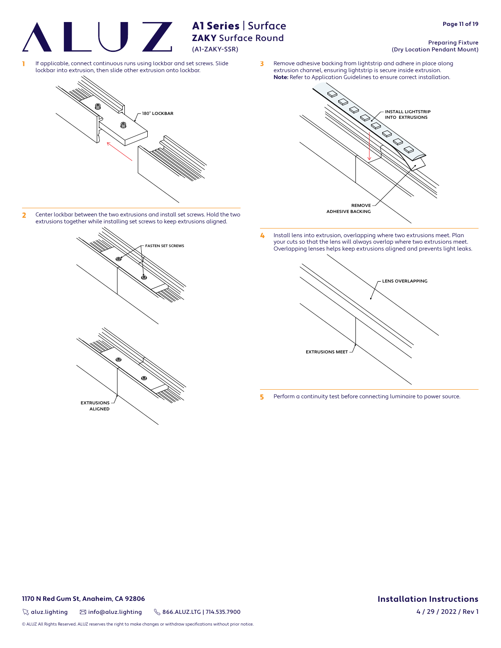A1 Series | Surface

<sup>1</sup> If applicable, connect continuous runs using lockbar and set screws. Slide lockbar into extrusion, then slide other extrusion onto lockbar.



2 Center lockbar between the two extrusions and install set screws. Hold the two extrusions together while installing set screws to keep extrusions aligned.



- INSTALL LIGHTSTRIP INTO EXTRUSIONS REMOVE ADHESIVE BACKING
- 4 Install lens into extrusion, overlapping where two extrusions meet. Plan your cuts so that the lens will always overlap where two extrusions meet. Overlapping lenses helps keep extrusions aligned and prevents light leaks.



5 Perform a continuity test before connecting luminaire to power source.

#### Preparing Fixture (Dry Location Pendant Mount)

**3** Remove adhesive backing from lightstrip and adhere in place along extrusion channel, ensuring lightstrip is secure inside extrusion. **Note:** Refer to Application Guidelines to ensure correct installation.

**1170 N Red Gum St, Anaheim, CA 92806 Installation Instructions**

 $\%$  aluz.lighting  $\%$  info@aluz.lighting  $\%$  866.ALUZ.LTG | 714.535.7900

© ALUZ All Rights Reserved. ALUZ reserves the right to make changes or withdraw specifications without prior notice.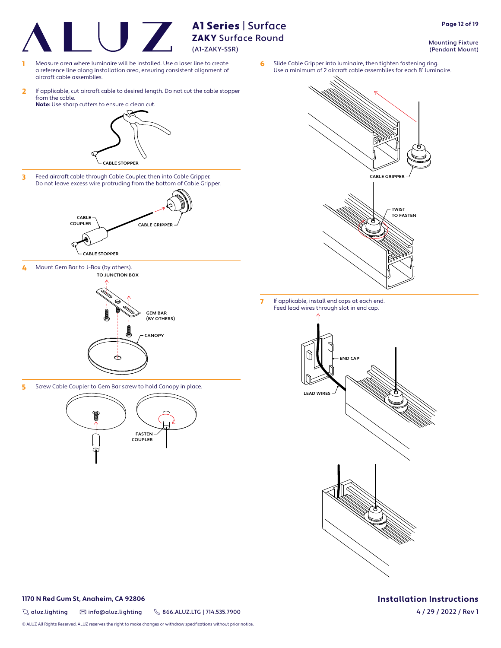

#### **1170 N Red Gum St, Anaheim, CA 92806 Installation Instructions**

 $\%$  aluz.lighting  $\%$  info@aluz.lighting  $\%$  866.ALUZ.LTG | 714.535.7900

© ALUZ All Rights Reserved. ALUZ reserves the right to make changes or withdraw specifications without prior notice.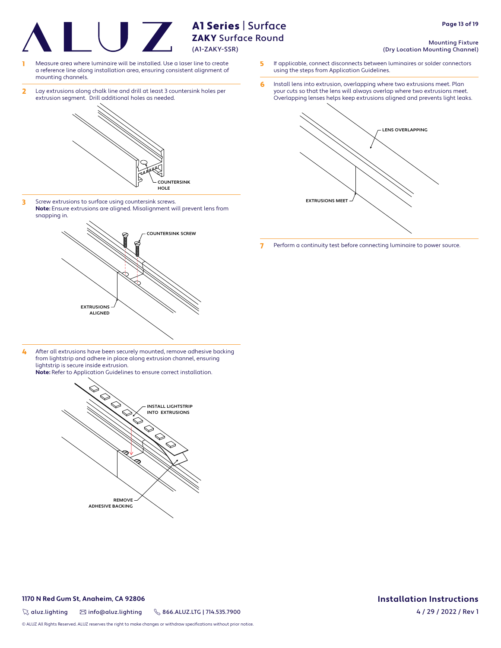A1 Series | Surface

- Measure area where luminaire will be installed. Use a laser line to create a reference line along installation area, ensuring consistent alignment of mounting channels.
- 2 Lay extrusions along chalk line and drill at least 3 countersink holes per extrusion segment. Drill additional holes as needed.



3 Screw extrusions to surface using countersink screws. **Note:** Ensure extrusions are aligned. Misalignment will prevent lens from snapping in.



4 After all extrusions have been securely mounted, remove adhesive backing from lightstrip and adhere in place along extrusion channel, ensuring lightstrip is secure inside extrusion. **Note:** Refer to Application Guidelines to ensure correct installation.



 $\%$  aluz.lighting  $\%$  info@aluz.lighting  $\%$  866.ALUZ.LTG | 714.535.7900

© ALUZ All Rights Reserved. ALUZ reserves the right to make changes or withdraw specifications without prior notice.

#### Mounting Fixture (Dry Location Mounting Channel)

- 5 If applicable, connect disconnects between luminaires or solder connectors using the steps from Application Guidelines.
- 6 Install lens into extrusion, overlapping where two extrusions meet. Plan your cuts so that the lens will always overlap where two extrusions meet. Overlapping lenses helps keep extrusions aligned and prevents light leaks.



7 Perform a continuity test before connecting luminaire to power source.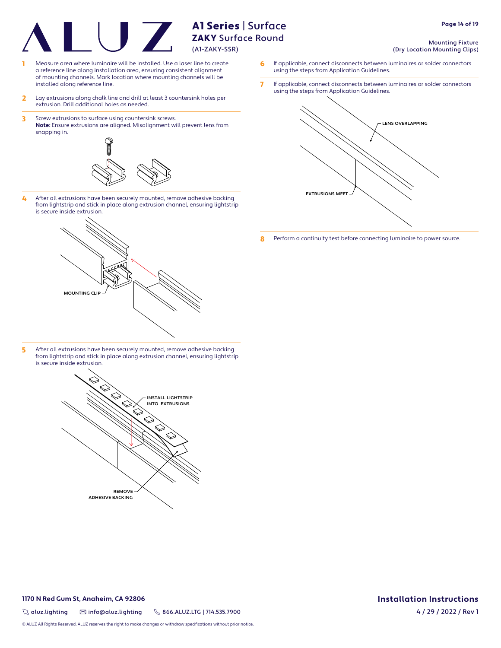# (A1-ZAKY-SSR)

# A1 Series | Surface ZAKY Surface Round

- 1 Measure area where luminaire will be installed. Use a laser line to create a reference line along installation area, ensuring consistent alignment of mounting channels. Mark location where mounting channels will be installed along reference line.
- 2 Lay extrusions along chalk line and drill at least 3 countersink holes per extrusion. Drill additional holes as needed.
- 3 Screw extrusions to surface using countersink screws. **Note:** Ensure extrusions are aligned. Misalignment will prevent lens from snapping in.



4 After all extrusions have been securely mounted, remove adhesive backing from lightstrip and stick in place along extrusion channel, ensuring lightstrip is secure inside extrusion.



5 After all extrusions have been securely mounted, remove adhesive backing from lightstrip and stick in place along extrusion channel, ensuring lightstrip is secure inside extrusion.



- Mounting Fixture (Dry Location Mounting Clips)
- 6 If applicable, connect disconnects between luminaires or solder connectors using the steps from Application Guidelines.
- 7 If applicable, connect disconnects between luminaires or solder connectors using the steps from Application Guidelines.



8 Perform a continuity test before connecting luminaire to power source.

#### **1170 N Red Gum St, Anaheim, CA 92806 Installation Instructions**

 $\%$  aluz.lighting  $\%$  info@aluz.lighting  $\%$  866.ALUZ.LTG | 714.535.7900

© ALUZ All Rights Reserved. ALUZ reserves the right to make changes or withdraw specifications without prior notice.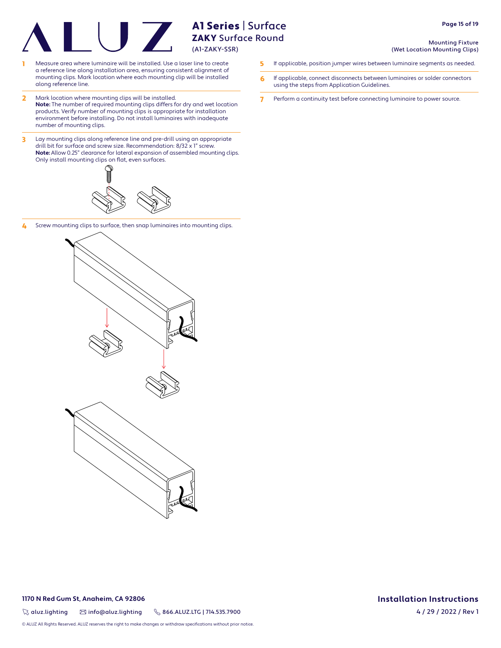- 1 Measure area where luminaire will be installed. Use a laser line to create 5 If applicable, position jumper wires between luminaire segments as needed. a reference line along installation area, ensuring consistent alignment of mounting clips. Mark location where each mounting clip will be installed along reference line.
- 2 Mark location where mounting clips will be installed. **Note:** The number of required mounting clips differs for dry and wet location products. Verify number of mounting clips is appropriate for installation environment before installing. Do not install luminaires with inadequate number of mounting clips.
- 3 Lay mounting clips along reference line and pre-drill using an appropriate drill bit for surface and screw size. Recommendation: 8/32 x 1" screw. **Note:** Allow 0.25" clearance for lateral expansion of assembled mounting clips. Only install mounting clips on flat, even surfaces.



4 Screw mounting clips to surface, then snap luminaires into mounting clips.



 $\%$  aluz.lighting  $\%$  info@aluz.lighting  $\%$  866.ALUZ.LTG | 714.535.7900

© ALUZ All Rights Reserved. ALUZ reserves the right to make changes or withdraw specifications without prior notice.

#### Mounting Fixture (Wet Location Mounting Clips)

- 
- 6 If applicable, connect disconnects between luminaires or solder connectors using the steps from Application Guidelines.
- 7 Perform a continuity test before connecting luminaire to power source.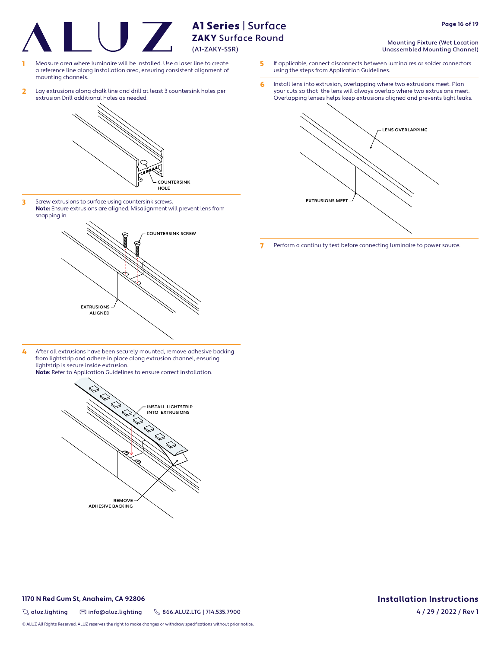A1 Series | Surface

- Measure area where luminaire will be installed. Use a laser line to create a reference line along installation area, ensuring consistent alignment of mounting channels.
- 2 Lay extrusions along chalk line and drill at least 3 countersink holes per extrusion Drill additional holes as needed.



3 Screw extrusions to surface using countersink screws. **Note:** Ensure extrusions are aligned. Misalignment will prevent lens from snapping in.



4 After all extrusions have been securely mounted, remove adhesive backing from lightstrip and adhere in place along extrusion channel, ensuring lightstrip is secure inside extrusion. **Note:** Refer to Application Guidelines to ensure correct installation.



- Mounting Fixture (Wet Location Unassembled Mounting Channel)
- 5 If applicable, connect disconnects between luminaires or solder connectors using the steps from Application Guidelines.
- 6 Install lens into extrusion, overlapping where two extrusions meet. Plan your cuts so that the lens will always overlap where two extrusions meet. Overlapping lenses helps keep extrusions aligned and prevents light leaks.



7 Perform a continuity test before connecting luminaire to power source.

#### **1170 N Red Gum St, Anaheim, CA 92806 Installation Instructions**

 $\%$  aluz.lighting  $\%$  info@aluz.lighting  $\%$  866.ALUZ.LTG | 714.535.7900

© ALUZ All Rights Reserved. ALUZ reserves the right to make changes or withdraw specifications without prior notice.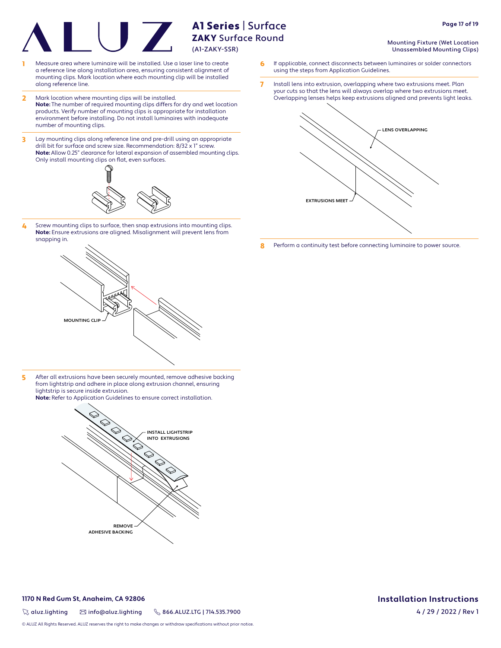- Measure area where luminaire will be installed. Use a laser line to create a reference line along installation area, ensuring consistent alignment of mounting clips. Mark location where each mounting clip will be installed along reference line.
- 2 Mark location where mounting clips will be installed. **Note:** The number of required mounting clips differs for dry and wet location products. Verify number of mounting clips is appropriate for installation environment before installing. Do not install luminaires with inadequate number of mounting clips.
- 3 Lay mounting clips along reference line and pre-drill using an appropriate drill bit for surface and screw size. Recommendation: 8/32 x 1" screw. **Note:** Allow 0.25" clearance for lateral expansion of assembled mounting clips. Only install mounting clips on flat, even surfaces.



4 Screw mounting clips to surface, then snap extrusions into mounting clips. **Note:** Ensure extrusions are aligned. Misalignment will prevent lens from snapping in.



5 After all extrusions have been securely mounted, remove adhesive backing from lightstrip and adhere in place along extrusion channel, ensuring lightstrip is secure inside extrusion.

**Note:** Refer to Application Guidelines to ensure correct installation.



#### **1170 N Red Gum St, Anaheim, CA 92806 Installation Instructions**

 $\%$  aluz.lighting  $\%$  info@aluz.lighting  $\%$  866.ALUZ.LTG | 714.535.7900

© ALUZ All Rights Reserved. ALUZ reserves the right to make changes or withdraw specifications without prior notice.

#### Mounting Fixture (Wet Location Unassembled Mounting Clips)

- 6 If applicable, connect disconnects between luminaires or solder connectors using the steps from Application Guidelines.
- 7 Install lens into extrusion, overlapping where two extrusions meet. Plan your cuts so that the lens will always overlap where two extrusions meet. Overlapping lenses helps keep extrusions aligned and prevents light leaks.



8 Perform a continuity test before connecting luminaire to power source.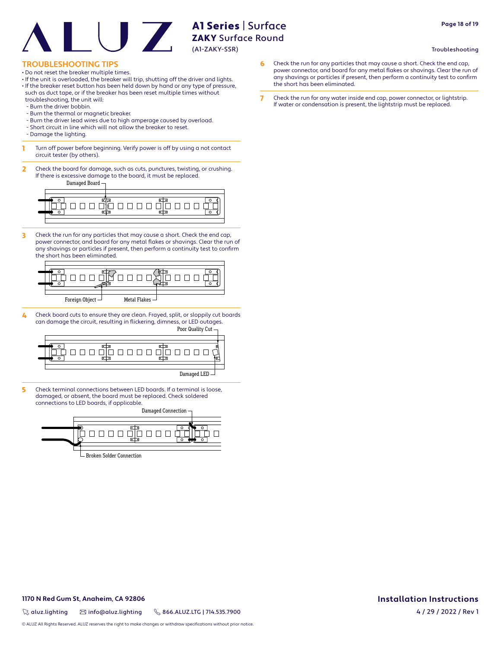**Page 18 of 19**

#### Troubleshooting

#### **TROUBLESHOOTING TIPS**

- Do not reset the breaker multiple times.
- If the unit is overloaded, the breaker will trip, shutting off the driver and lights.
- If the breaker reset button has been held down by hand or any type of pressure, such as duct tape, or if the breaker has been reset multiple times without troubleshooting, the unit will:
- Burn the driver bobbin.
- Burn the thermal or magnetic breaker.
- Burn the driver lead wires due to high amperage caused by overload.
- Short circuit in line which will not allow the breaker to reset.
- Damage the lighting.
- **1** Turn off power before beginning. Verify power is off by using a not contact circuit tester (by others).
- 2 Check the board for damage, such as cuts, punctures, twisting, or crushing. If there is excessive damage to the board, it must be replaced.

Damaged Board



3 Check the run for any particles that may cause a short. Check the end cap, power connector, and board for any metal flakes or shavings. Clear the run of any shavings or particles if present, then perform a continuity test to confirm the short has been eliminated.



4 Check board cuts to ensure they are clean. Frayed, split, or sloppily cut boards can damage the circuit, resulting in flickering, dimness, or LED outages.



5 Check terminal connections between LED boards. If a terminal is loose, damaged, or absent, the board must be replaced. Check soldered connections to LED boards, if applicable.

Damaged Connection <u>000000000</u> Broken Solder Connection

- 6 Check the run for any particles that may cause a short. Check the end cap, power connector, and board for any metal flakes or shavings. Clear the run of any shavings or particles if present, then perform a continuity test to confirm the short has been eliminated.
- 7 Check the run for any water inside end cap, power connector, or lightstrip. If water or condensation is present, the lightstrip must be replaced.

#### **1170 N Red Gum St, Anaheim, CA 92806 Installation Instructions**

 $\%$  aluz.lighting  $\%$  info@aluz.lighting  $\%$  866.ALUZ.LTG | 714.535.7900

© ALUZ All Rights Reserved. ALUZ reserves the right to make changes or withdraw specifications without prior notice.